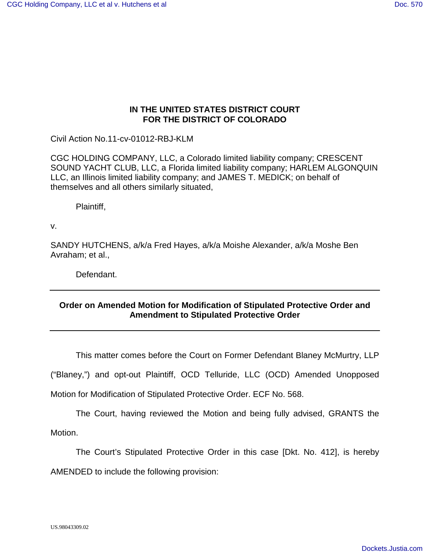## **IN THE UNITED STATES DISTRICT COURT FOR THE DISTRICT OF COLORADO**

Civil Action No.11-cv-01012-RBJ-KLM

CGC HOLDING COMPANY, LLC, a Colorado limited liability company; CRESCENT SOUND YACHT CLUB, LLC, a Florida limited liability company; HARLEM ALGONQUIN LLC, an Illinois limited liability company; and JAMES T. MEDICK; on behalf of themselves and all others similarly situated,

Plaintiff,

v.

SANDY HUTCHENS, a/k/a Fred Hayes, a/k/a Moishe Alexander, a/k/a Moshe Ben Avraham; et al.,

Defendant.

## **Order on Amended Motion for Modification of Stipulated Protective Order and Amendment to Stipulated Protective Order**

This matter comes before the Court on Former Defendant Blaney McMurtry, LLP

("Blaney,") and opt-out Plaintiff, OCD Telluride, LLC (OCD) Amended Unopposed

Motion for Modification of Stipulated Protective Order. ECF No. 568.

The Court, having reviewed the Motion and being fully advised, GRANTS the Motion.

The Court's Stipulated Protective Order in this case [Dkt. No. 412], is hereby AMENDED to include the following provision: